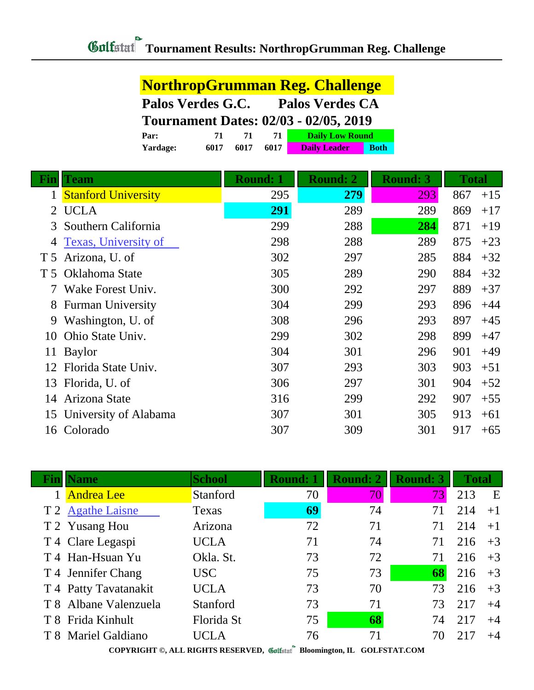**NorthropGrumman Reg. Challenge**

|                | Palos Verdes G.C.           |                                              | <b>Palos Verdes CA</b> |                        |                 |              |       |
|----------------|-----------------------------|----------------------------------------------|------------------------|------------------------|-----------------|--------------|-------|
|                |                             | <b>Tournament Dates: 02/03 - 02/05, 2019</b> |                        |                        |                 |              |       |
|                | Par:                        | 71<br>71                                     | 71                     | <b>Daily Low Round</b> |                 |              |       |
|                | 6017<br>Yardage:            | 6017                                         | 6017                   | <b>Daily Leader</b>    | <b>Both</b>     |              |       |
|                |                             |                                              |                        |                        |                 |              |       |
| Fin            | Team                        | <b>Round: 1</b>                              |                        | <b>Round: 2</b>        | <b>Round: 3</b> | <b>Total</b> |       |
| 1              | <b>Stanford University</b>  |                                              | 295                    | 279                    | 293             | 867          | $+15$ |
| 2              | <b>UCLA</b>                 |                                              | 291                    | 289                    | 289             | 869          | $+17$ |
| 3              | Southern California         |                                              | 299                    | 288                    | 284             | 871          | $+19$ |
| 4              | <b>Texas, University of</b> |                                              | 298                    | 288                    | 289             | 875          | $+23$ |
| T <sub>5</sub> | Arizona, U. of              |                                              | 302                    | 297                    | 285             | 884          | $+32$ |
| T <sub>5</sub> | Oklahoma State              |                                              | 305                    | 289                    | 290             | 884          | $+32$ |
|                | Wake Forest Univ.           |                                              | 300                    | 292                    | 297             | 889          | $+37$ |
| 8              | <b>Furman University</b>    |                                              | 304                    | 299                    | 293             | 896          | $+44$ |
| 9              | Washington, U. of           |                                              | 308                    | 296                    | 293             | 897          | $+45$ |
| 10             | Ohio State Univ.            |                                              | 299                    | 302                    | 298             | 899          | $+47$ |
| 11             | <b>Baylor</b>               |                                              | 304                    | 301                    | 296             | 901          | $+49$ |
| 12             | Florida State Univ.         |                                              | 307                    | 293                    | 303             | 903          | $+51$ |
| 13             | Florida, U. of              |                                              | 306                    | 297                    | 301             | 904          | $+52$ |
| 14             | Arizona State               |                                              | 316                    | 299                    | 292             | 907          | $+55$ |
| 15             | University of Alabama       |                                              | 307                    | 301                    | 305             | 913          | $+61$ |
|                | 16 Colorado                 |                                              | 307                    | 309                    | 301             | 917          | $+65$ |

| Finll | <b>Name</b>           | <b>School</b> | <b>Round: 1</b> | <b>Round: 2</b> | <b>Round: 3</b> | <b>Total</b> |      |
|-------|-----------------------|---------------|-----------------|-----------------|-----------------|--------------|------|
|       | <b>Andrea</b> Lee     | Stanford      | 70              | 70              | 731             | 213          | E    |
|       | T 2 Agathe Laisne     | Texas         | 69              | 74              | 71              | 214          | $+1$ |
|       | T 2 Yusang Hou        | Arizona       | 72              | 71              | 71              | 214          | $+1$ |
|       | T 4 Clare Legaspi     | <b>UCLA</b>   | 71              | 74              | 71              | 216          | $+3$ |
|       | T 4 Han-Hsuan Yu      | Okla. St.     | 73              | 72              | 71              | 216          | $+3$ |
|       | T 4 Jennifer Chang    | USC           | 75              | 73              | 68              | 216          | $+3$ |
|       | T 4 Patty Tavatanakit | <b>UCLA</b>   | 73              | 70              | 73              | 216          | $+3$ |
|       | T 8 Albane Valenzuela | Stanford      | 73              | 71              | 73              | 217          | $+4$ |
|       | T 8 Frida Kinhult     | Florida St    | 75              | 68              | 74              | 217          | $+4$ |
|       | T 8 Mariel Galdiano   | UCLA          | 76              | 71              | 70              | 217          | $+4$ |
|       |                       |               |                 |                 |                 |              |      |

**COPYRIGHT ©, ALL RIGHTS RESERVED, Bloomington, IL GOLFSTAT.COM**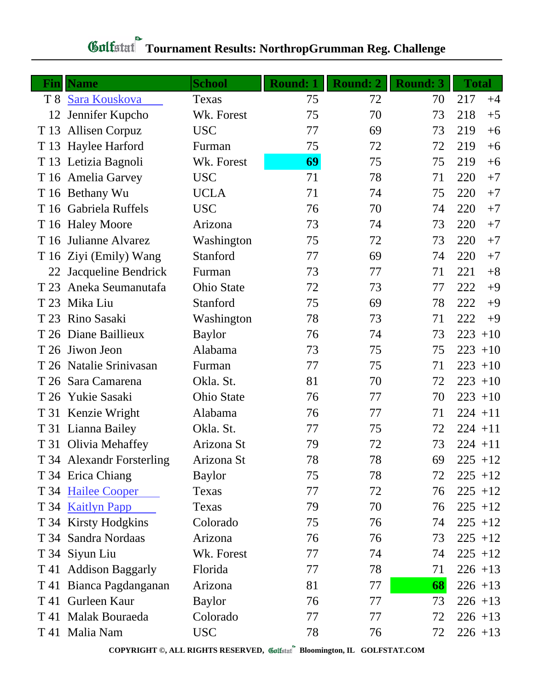| Fin  | <b>Name</b>               | <b>School</b>     | <b>Round: 1</b> | Round: 2 | <b>Round: 3</b> | <b>Total</b> |
|------|---------------------------|-------------------|-----------------|----------|-----------------|--------------|
|      | T 8 Sara Kouskova         | Texas             | 75              | 72       | 70              | 217<br>$+4$  |
| 12   | Jennifer Kupcho           | Wk. Forest        | 75              | 70       | 73              | 218<br>$+5$  |
|      | T 13 Allisen Corpuz       | <b>USC</b>        | 77              | 69       | 73              | 219<br>$+6$  |
|      | T 13 Haylee Harford       | Furman            | 75              | 72       | 72              | 219<br>$+6$  |
|      | T 13 Letizia Bagnoli      | Wk. Forest        | 69              | 75       | 75              | 219<br>$+6$  |
|      | T 16 Amelia Garvey        | <b>USC</b>        | 71              | 78       | 71              | 220<br>$+7$  |
|      | T 16 Bethany Wu           | <b>UCLA</b>       | 71              | 74       | 75              | 220<br>$+7$  |
|      | T 16 Gabriela Ruffels     | <b>USC</b>        | 76              | 70       | 74              | 220<br>$+7$  |
|      | T 16 Haley Moore          | Arizona           | 73              | 74       | 73              | 220<br>$+7$  |
|      | T 16 Julianne Alvarez     | Washington        | 75              | 72       | 73              | 220<br>$+7$  |
|      | T 16 Ziyi (Emily) Wang    | Stanford          | 77              | 69       | 74              | 220<br>$+7$  |
|      | 22 Jacqueline Bendrick    | Furman            | 73              | 77       | 71              | 221<br>$+8$  |
|      | T 23 Aneka Seumanutafa    | <b>Ohio State</b> | 72              | 73       | 77              | 222<br>$+9$  |
|      | T 23 Mika Liu             | Stanford          | 75              | 69       | 78              | 222<br>$+9$  |
|      | T 23 Rino Sasaki          | Washington        | 78              | 73       | 71              | 222<br>$+9$  |
|      | T 26 Diane Baillieux      | <b>Baylor</b>     | 76              | 74       | 73              | 223<br>$+10$ |
|      | T 26 Jiwon Jeon           | Alabama           | 73              | 75       | 75              | $223 + 10$   |
|      | T 26 Natalie Srinivasan   | Furman            | 77              | 75       | 71              | $223 + 10$   |
|      | T 26 Sara Camarena        | Okla. St.         | 81              | 70       | 72              | $223 + 10$   |
|      | T 26 Yukie Sasaki         | <b>Ohio State</b> | 76              | 77       | 70              | $223 + 10$   |
|      | T 31 Kenzie Wright        | Alabama           | 76              | 77       | 71              | $224 + 11$   |
|      | T 31 Lianna Bailey        | Okla. St.         | 77              | 75       | 72              | $224 + 11$   |
|      | T 31 Olivia Mehaffey      | Arizona St        | 79              | 72       | 73              | $224 + 11$   |
|      | T 34 Alexandr Forsterling | Arizona St        | 78              | 78       | 69              | $225 + 12$   |
|      | T 34 Erica Chiang         | <b>Baylor</b>     | 75              | 78       | 72              | $225 + 12$   |
|      | T 34 Hailee Cooper        | Texas             | 77              | 72       | 76              | $225 + 12$   |
|      | T 34 Kaitlyn Papp         | Texas             | 79              | 70       | 76              | $225 + 12$   |
|      | T 34 Kirsty Hodgkins      | Colorado          | 75              | 76       | 74              | $225 + 12$   |
|      | T 34 Sandra Nordaas       | Arizona           | 76              | 76       | 73              | $225 + 12$   |
|      | T 34 Siyun Liu            | Wk. Forest        | 77              | 74       | 74              | $225 + 12$   |
|      | T 41 Addison Baggarly     | Florida           | 77              | 78       | 71              | $226 + 13$   |
|      | T 41 Bianca Pagdanganan   | Arizona           | 81              | 77       | 68              | $226 + 13$   |
|      | T 41 Gurleen Kaur         | <b>Baylor</b>     | 76              | 77       | 73              | $226 + 13$   |
| T 41 | <b>Malak Bouraeda</b>     | Colorado          | 77              | 77       | 72              | $226 + 13$   |
|      | T 41 Malia Nam            | <b>USC</b>        | 78              | 76       | 72              | $226 + 13$   |

## **Tournament Results: NorthropGrumman Reg. Challenge**

**COPYRIGHT ©, ALL RIGHTS RESERVED, Bloomington, IL GOLFSTAT.COM**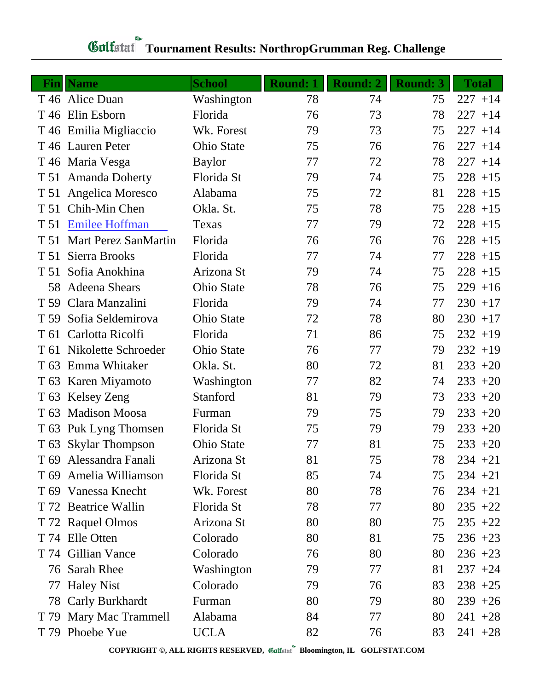| Fin  | <b>Name</b>                 | <b>School</b>     | Round: 1 | Round: 2 | <b>Round: 3</b> | <b>Total</b> |
|------|-----------------------------|-------------------|----------|----------|-----------------|--------------|
|      | T 46 Alice Duan             | Washington        | 78       | 74       | 75              | $227 + 14$   |
|      | T 46 Elin Esborn            | Florida           | 76       | 73       | 78              | $227 + 14$   |
|      | T 46 Emilia Migliaccio      | Wk. Forest        | 79       | 73       | 75              | $227 + 14$   |
|      | T 46 Lauren Peter           | <b>Ohio State</b> | 75       | 76       | 76              | $227 + 14$   |
|      | T 46 Maria Vesga            | <b>Baylor</b>     | 77       | 72       | 78              | $227 + 14$   |
|      | T 51 Amanda Doherty         | Florida St        | 79       | 74       | 75              | $228 + 15$   |
|      | T 51 Angelica Moresco       | Alabama           | 75       | 72       | 81              | $228 + 15$   |
|      | T 51 Chih-Min Chen          | Okla. St.         | 75       | 78       | 75              | $228 + 15$   |
| T 51 | <b>Emilee Hoffman</b>       | Texas             | 77       | 79       | 72              | $228 + 15$   |
| T 51 | <b>Mart Perez SanMartin</b> | Florida           | 76       | 76       | 76              | $228 + 15$   |
| T 51 | Sierra Brooks               | Florida           | 77       | 74       | 77              | $228 + 15$   |
|      | T 51 Sofia Anokhina         | Arizona St        | 79       | 74       | 75              | $228 + 15$   |
| 58   | Adeena Shears               | <b>Ohio State</b> | 78       | 76       | 75              | $229 + 16$   |
| T 59 | Clara Manzalini             | Florida           | 79       | 74       | 77              | $230 + 17$   |
| T 59 | Sofia Seldemirova           | <b>Ohio State</b> | 72       | 78       | 80              | $230 + 17$   |
|      | T 61 Carlotta Ricolfi       | Florida           | 71       | 86       | 75              | $232 + 19$   |
| T 61 | Nikolette Schroeder         | <b>Ohio State</b> | 76       | 77       | 79              | $232 + 19$   |
|      | T 63 Emma Whitaker          | Okla. St.         | 80       | 72       | 81              | $233 + 20$   |
|      | T 63 Karen Miyamoto         | Washington        | 77       | 82       | 74              | $233 + 20$   |
| T 63 | Kelsey Zeng                 | Stanford          | 81       | 79       | 73              | $233 + 20$   |
| T 63 | <b>Madison Moosa</b>        | Furman            | 79       | 75       | 79              | $233 + 20$   |
|      | T 63 Puk Lyng Thomsen       | Florida St        | 75       | 79       | 79              | $233 + 20$   |
|      | T 63 Skylar Thompson        | Ohio State        | 77       | 81       | 75              | $233 + 20$   |
|      | T 69 Alessandra Fanali      | Arizona St        | 81       | 75       | 78              | $234 + 21$   |
|      | T 69 Amelia Williamson      | Florida St        | 85       | 74       | 75              | $234 +21$    |
|      | T 69 Vanessa Knecht         | Wk. Forest        | 80       | 78       | 76              | $234 +21$    |
|      | T 72 Beatrice Wallin        | Florida St        | 78       | 77       | 80              | $235 + 22$   |
|      | T 72 Raquel Olmos           | Arizona St        | 80       | 80       | 75              | $235 + 22$   |
|      | T 74 Elle Otten             | Colorado          | 80       | 81       | 75              | $236 + 23$   |
|      | T 74 Gillian Vance          | Colorado          | 76       | 80       | 80              | $236 + 23$   |
|      | 76 Sarah Rhee               | Washington        | 79       | 77       | 81              | $237 + 24$   |
| 77   | <b>Haley Nist</b>           | Colorado          | 79       | 76       | 83              | $238 + 25$   |
|      | 78 Carly Burkhardt          | Furman            | 80       | 79       | 80              | $239 + 26$   |
| T 79 | Mary Mac Trammell           | Alabama           | 84       | 77       | 80              | $241 + 28$   |
|      | T 79 Phoebe Yue             | <b>UCLA</b>       | 82       | 76       | 83              | $241 + 28$   |

## **Tournament Results: NorthropGrumman Reg. Challenge**